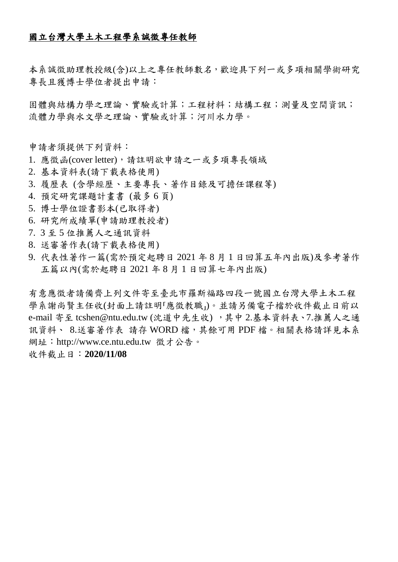## 國立台灣大學土木工程學系誠徵專任教師

本系誠徵助理教授級(含)以上之專任教師數名,歡迎具下列一或多項相關學術研究 專長且獲博士學位者提出申請:

固體與結構力學之理論、實驗或計算;工程材料;結構工程;測量及空間資訊; 流體力學與水文學之理論、實驗或計算;河川水力學。

申請者須提供下列資料:

- 1. 應徵函(cover letter),請註明欲申請之一或多項專長領域
- 2. 基本資料表(請下載表格使用)
- 3. 履歷表 (含學經歷、主要專長、著作目錄及可擔任課程等)
- 4. 預定研究課題計畫書 (最多 6 頁)
- 5. 博士學位證書影本(已取得者)
- 6. 研究所成績單(申請助理教授者)
- 7. 3 至 5 位推薦人之通訊資料
- 8. 送審著作表(請下載表格使用)
- 9. 代表性著作一篇(需於預定起聘日 2021 年 8 月 1 日回算五年內出版)及參考著作 五篇以內(需於起聘日 2021 年 8 月 1 日回算七年內出版)

有意應徵者請備齊上列文件寄至臺北市羅斯福路四段一號國立台灣大學土木工程 學系謝尚賢主任收(封面上請註明「應徵教職」)。並請另備電子檔於收件截止日前以 e-mail 寄至 tcshen@ntu.edu.tw (沈道中先生收) ,其中 2.基本資料表、7.推薦人之通 訊資料、 8.送審著作表 請存 WORD 檔, 其餘可用 PDF 檔。相關表格請詳見本系 網址:http://www.ce.ntu.edu.tw 徵才公告。

## 收件截止日:**2020/11/08**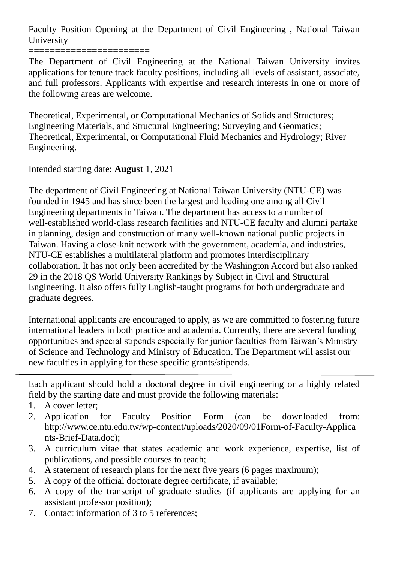Faculty Position Opening at the Department of Civil Engineering , National Taiwan University

=======================

The Department of Civil Engineering at the National Taiwan University invites applications for tenure track faculty positions, including all levels of assistant, associate, and full professors. Applicants with expertise and research interests in one or more of the following areas are welcome.

Theoretical, Experimental, or Computational Mechanics of Solids and Structures; Engineering Materials, and Structural Engineering; Surveying and Geomatics; Theoretical, Experimental, or Computational Fluid Mechanics and Hydrology; River Engineering.

Intended starting date: **August** 1, 2021

The department of Civil Engineering at National Taiwan University (NTU-CE) was founded in 1945 and has since been the largest and leading one among all Civil Engineering departments in Taiwan. The department has access to a number of well-established world-class research facilities and NTU-CE faculty and alumni partake in planning, design and construction of many well-known national public projects in Taiwan. Having a close-knit network with the government, academia, and industries, NTU-CE establishes a multilateral platform and promotes interdisciplinary collaboration. It has not only been accredited by the Washington Accord but also ranked 29 in the 2018 QS World University Rankings by Subject in Civil and Structural Engineering. It also offers fully English-taught programs for both undergraduate and graduate degrees.

International applicants are encouraged to apply, as we are committed to fostering future international leaders in both practice and academia. Currently, there are several funding opportunities and special stipends especially for junior faculties from Taiwan's Ministry of Science and Technology and Ministry of Education. The Department will assist our new faculties in applying for these specific grants/stipends.

Each applicant should hold a doctoral degree in civil engineering or a highly related field by the starting date and must provide the following materials:

- 1. A cover letter;
- 2. Application for Faculty Position Form (can be downloaded from: http://www.ce.ntu.edu.tw/wp-content/uploads/2020/09/01Form-of-Faculty-Applica nts-Brief-Data.doc);
- 3. A curriculum vitae that states academic and work experience, expertise, list of publications, and possible courses to teach;
- 4. A statement of research plans for the next five years (6 pages maximum);
- 5. A copy of the official doctorate degree certificate, if available;
- 6. A copy of the transcript of graduate studies (if applicants are applying for an assistant professor position);
- 7. Contact information of 3 to 5 references;